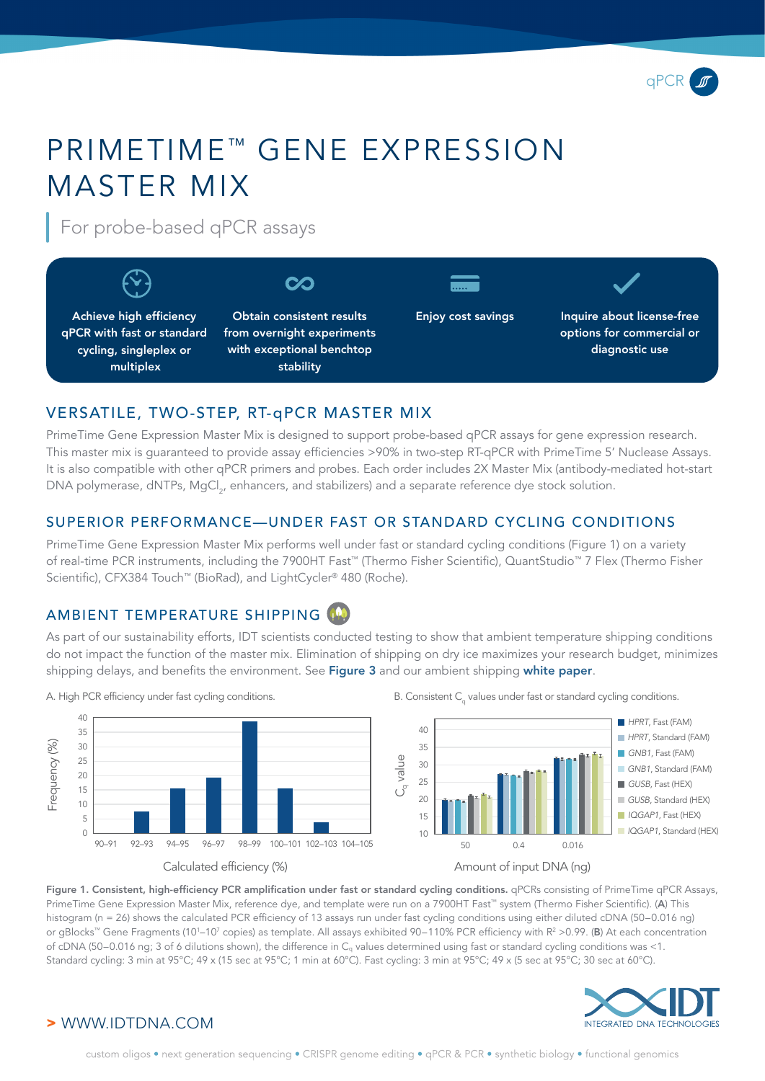

# PRIMETIME™ GENE EXPRESSION MASTER MIX

For probe-based qPCR assays



# VERSATILE, TWO-STEP, RT-qPCR MASTER MIX

PrimeTime Gene Expression Master Mix is designed to support probe-based qPCR assays for gene expression research. This master mix is guaranteed to provide assay efficiencies >90% in two-step RT-qPCR with PrimeTime 5' Nuclease Assays. It is also compatible with other qPCR primers and probes. Each order includes 2X Master Mix (antibody-mediated hot-start DNA polymerase, dNTPs, MgCl<sub>2</sub>, enhancers, and stabilizers) and a separate reference dye stock solution.

## SUPERIOR PERFORMANCE—UNDER FAST OR STANDARD CYCLING CONDITIONS

PrimeTime Gene Expression Master Mix performs well under fast or standard cycling conditions (Figure 1) on a variety of real-time PCR instruments, including the 7900HT Fast™ (Thermo Fisher Scientific), QuantStudio™ 7 Flex (Thermo Fisher Scientific), CFX384 Touch™ (BioRad), and LightCycler® 480 (Roche).

# AMBIENT TEMPERATURE SHIPPING

As part of our sustainability efforts, IDT scientists conducted testing to show that ambient temperature shipping conditions do not impact the function of the master mix. Elimination of shipping on dry ice maximizes your research budget, minimizes shipping delays, and benefits the environment. See [Figure 3](#page-1-0) and our ambient shipping [white paper](chrome-extension://efaidnbmnnnibpcajpcglclefindmkaj/viewer.html?pdfurl=https%3A%2F%2Fsfvideo.blob.core.windows.net%2Fsitefinity%2Fdocs%2Fdefault-source%2Fwhite-paper%2Fmaster-mix-ambient-shipping.pdf%3Fsfvrsn%3D96873907_10&clen=873353&chunk=true).



A. High PCR efficiency under fast cycling conditions.  $B.$  Consistent  $C_q$  values under fast or standard cycling conditions.



Figure 1. Consistent, high-efficiency PCR amplification under fast or standard cycling conditions. qPCRs consisting of PrimeTime qPCR Assays, PrimeTime Gene Expression Master Mix, reference dye, and template were run on a 7900HT Fast<sup>™</sup> system (Thermo Fisher Scientific). (A) This histogram (n = 26) shows the calculated PCR efficiency of 13 assays run under fast cycling conditions using either diluted cDNA (50–0.016 ng) or gBlocks™ Gene Fragments (10'–10' copies) as template. All assays exhibited 90–110% PCR efficiency with R<sup>2</sup> >0.99. (**B**) At each concentration of cDNA (50–0.016 ng; 3 of 6 dilutions shown), the difference in Cq values determined using fast or standard cycling conditions was <1. Standard cycling: 3 min at 95°C; 49 x (15 sec at 95°C; 1 min at 60°C). Fast cycling: 3 min at 95°C; 49 x (5 sec at 95°C; 30 sec at 60°C).



#### > WWW.IDTDNA.COM